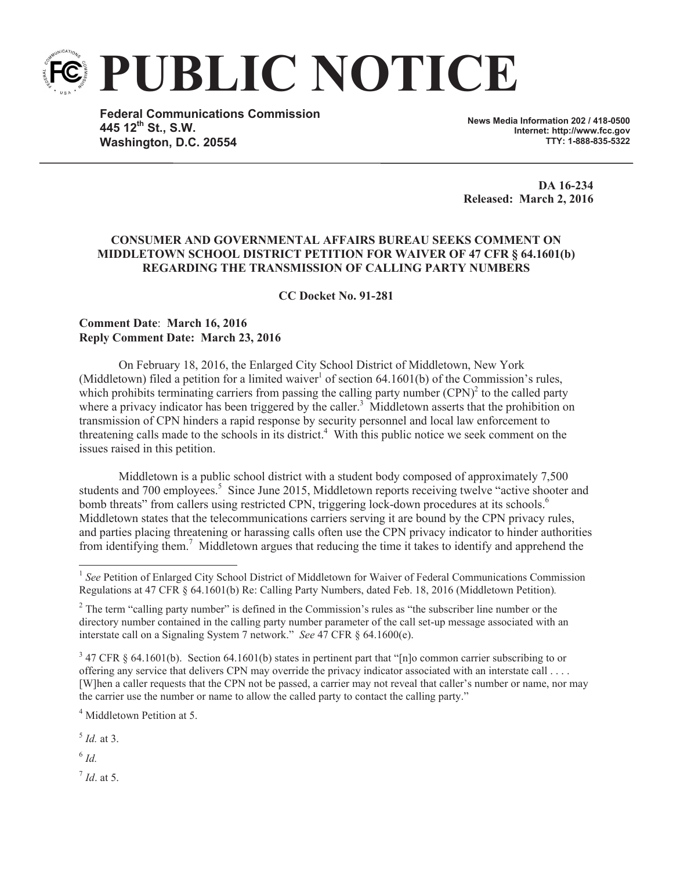

**Federal Communications Commission 445 12th St., S.W. Washington, D.C. 20554**

**News Media Information 202 / 418-0500 Internet: http://www.fcc.gov TTY: 1-888-835-5322**

**DA 16-234 Released: March 2, 2016**

## **CONSUMER AND GOVERNMENTAL AFFAIRS BUREAU SEEKS COMMENT ON MIDDLETOWN SCHOOL DISTRICT PETITION FOR WAIVER OF 47 CFR § 64.1601(b) REGARDING THE TRANSMISSION OF CALLING PARTY NUMBERS**

**CC Docket No. 91-281**

## **Comment Date**: **March 16, 2016 Reply Comment Date: March 23, 2016**

On February 18, 2016, the Enlarged City School District of Middletown, New York (Middletown) filed a petition for a limited waiver<sup>1</sup> of section  $64.1601(b)$  of the Commission's rules, which prohibits terminating carriers from passing the calling party number  $(CPN)^2$  to the called party where a privacy indicator has been triggered by the caller.<sup>3</sup> Middletown asserts that the prohibition on transmission of CPN hinders a rapid response by security personnel and local law enforcement to threatening calls made to the schools in its district.<sup>4</sup> With this public notice we seek comment on the issues raised in this petition.

Middletown is a public school district with a student body composed of approximately 7,500 students and 700 employees.<sup>5</sup> Since June 2015, Middletown reports receiving twelve "active shooter and bomb threats" from callers using restricted CPN, triggering lock-down procedures at its schools.<sup>6</sup> Middletown states that the telecommunications carriers serving it are bound by the CPN privacy rules, and parties placing threatening or harassing calls often use the CPN privacy indicator to hinder authorities from identifying them.<sup>7</sup> Middletown argues that reducing the time it takes to identify and apprehend the

<sup>4</sup> Middletown Petition at 5.

5 *Id.* at 3.

6 *Id.*

7 *Id*. at 5.

<sup>&</sup>lt;sup>1</sup> See Petition of Enlarged City School District of Middletown for Waiver of Federal Communications Commission Regulations at 47 CFR § 64.1601(b) Re: Calling Party Numbers, dated Feb. 18, 2016 (Middletown Petition)*.*

<sup>&</sup>lt;sup>2</sup> The term "calling party number" is defined in the Commission's rules as "the subscriber line number or the directory number contained in the calling party number parameter of the call set-up message associated with an interstate call on a Signaling System 7 network." *See* 47 CFR § 64.1600(e).

 $3$  47 CFR § 64.1601(b). Section 64.1601(b) states in pertinent part that "[n]o common carrier subscribing to or offering any service that delivers CPN may override the privacy indicator associated with an interstate call . . . . [W]hen a caller requests that the CPN not be passed, a carrier may not reveal that caller's number or name, nor may the carrier use the number or name to allow the called party to contact the calling party."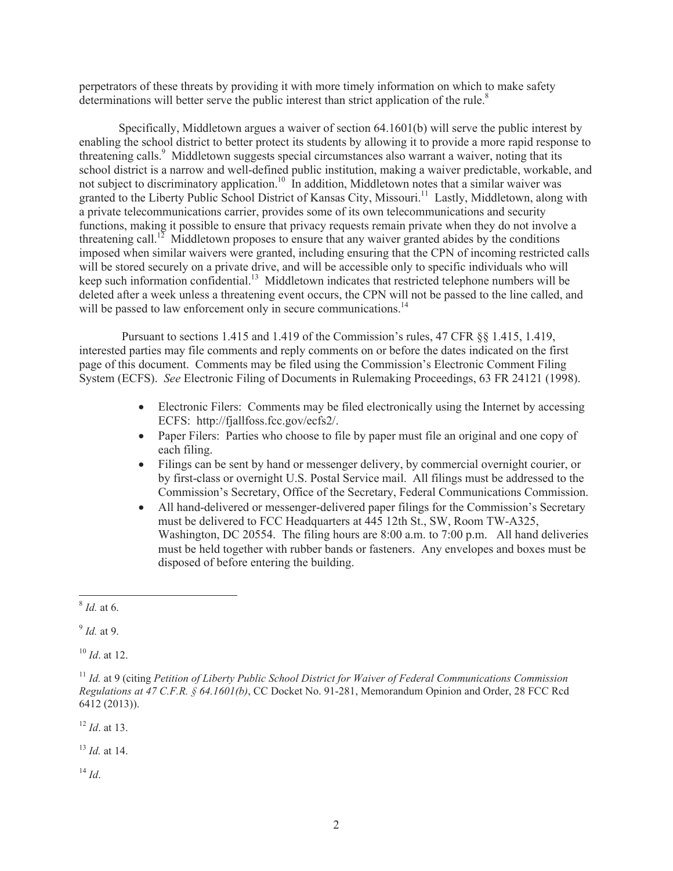perpetrators of these threats by providing it with more timely information on which to make safety determinations will better serve the public interest than strict application of the rule.<sup>8</sup>

Specifically, Middletown argues a waiver of section 64.1601(b) will serve the public interest by enabling the school district to better protect its students by allowing it to provide a more rapid response to threatening calls.<sup>9</sup> Middletown suggests special circumstances also warrant a waiver, noting that its school district is a narrow and well-defined public institution, making a waiver predictable, workable, and not subject to discriminatory application.<sup>10</sup> In addition, Middletown notes that a similar waiver was granted to the Liberty Public School District of Kansas City, Missouri.<sup>11</sup> Lastly, Middletown, along with a private telecommunications carrier, provides some of its own telecommunications and security functions, making it possible to ensure that privacy requests remain private when they do not involve a threatening call.<sup>12</sup> Middletown proposes to ensure that any waiver granted abides by the conditions imposed when similar waivers were granted, including ensuring that the CPN of incoming restricted calls will be stored securely on a private drive, and will be accessible only to specific individuals who will keep such information confidential.<sup>13</sup> Middletown indicates that restricted telephone numbers will be deleted after a week unless a threatening event occurs, the CPN will not be passed to the line called, and will be passed to law enforcement only in secure communications.<sup>14</sup>

Pursuant to sections 1.415 and 1.419 of the Commission's rules, 47 CFR §§ 1.415, 1.419, interested parties may file comments and reply comments on or before the dates indicated on the first page of this document. Comments may be filed using the Commission's Electronic Comment Filing System (ECFS). *See* Electronic Filing of Documents in Rulemaking Proceedings, 63 FR 24121 (1998).

- Electronic Filers: Comments may be filed electronically using the Internet by accessing ECFS: http://fjallfoss.fcc.gov/ecfs2/.
- Paper Filers: Parties who choose to file by paper must file an original and one copy of each filing.
- · Filings can be sent by hand or messenger delivery, by commercial overnight courier, or by first-class or overnight U.S. Postal Service mail. All filings must be addressed to the Commission's Secretary, Office of the Secretary, Federal Communications Commission.
- All hand-delivered or messenger-delivered paper filings for the Commission's Secretary must be delivered to FCC Headquarters at 445 12th St., SW, Room TW-A325, Washington, DC 20554. The filing hours are 8:00 a.m. to 7:00 p.m. All hand deliveries must be held together with rubber bands or fasteners. Any envelopes and boxes must be disposed of before entering the building.

<sup>10</sup> *Id*. at 12.

<sup>12</sup> *Id*. at 13.

<sup>13</sup> *Id.* at 14.

<sup>14</sup> *Id*.

<sup>8</sup> *Id.* at 6.

<sup>9</sup> *Id.* at 9.

<sup>11</sup> *Id.* at 9 (citing *Petition of Liberty Public School District for Waiver of Federal Communications Commission Regulations at 47 C.F.R. § 64.1601(b)*, CC Docket No. 91-281, Memorandum Opinion and Order, 28 FCC Rcd 6412 (2013)).